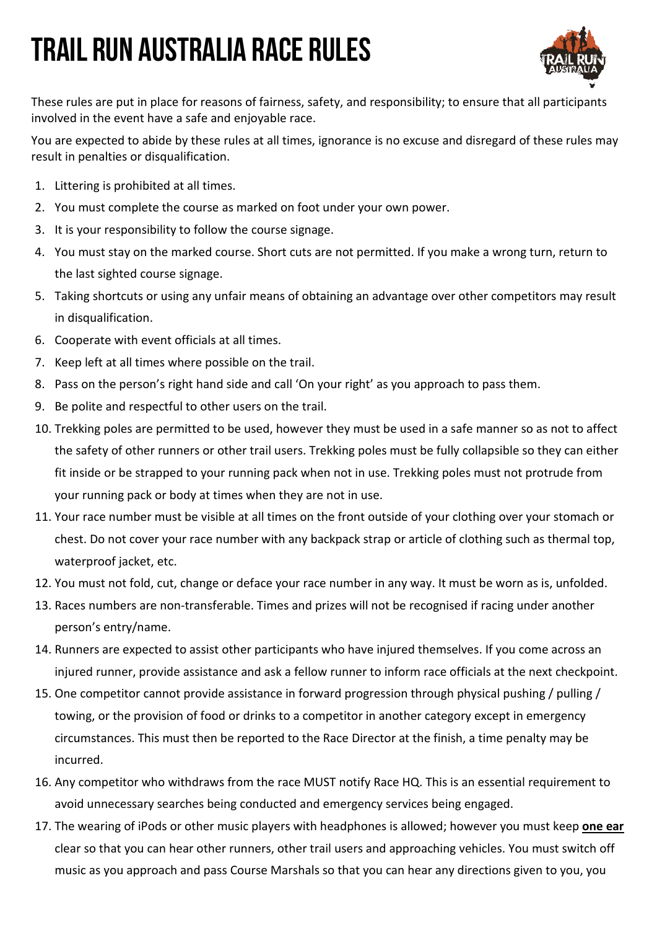## Trail Run Australia Race Rules



These rules are put in place for reasons of fairness, safety, and responsibility; to ensure that all participants involved in the event have a safe and enjoyable race.

You are expected to abide by these rules at all times, ignorance is no excuse and disregard of these rules may result in penalties or disqualification.

- 1. Littering is prohibited at all times.
- 2. You must complete the course as marked on foot under your own power.
- 3. It is your responsibility to follow the course signage.
- 4. You must stay on the marked course. Short cuts are not permitted. If you make a wrong turn, return to the last sighted course signage.
- 5. Taking shortcuts or using any unfair means of obtaining an advantage over other competitors may result in disqualification.
- 6. Cooperate with event officials at all times.
- 7. Keep left at all times where possible on the trail.
- 8. Pass on the person's right hand side and call 'On your right' as you approach to pass them.
- 9. Be polite and respectful to other users on the trail.
- 10. Trekking poles are permitted to be used, however they must be used in a safe manner so as not to affect the safety of other runners or other trail users. Trekking poles must be fully collapsible so they can either fit inside or be strapped to your running pack when not in use. Trekking poles must not protrude from your running pack or body at times when they are not in use.
- 11. Your race number must be visible at all times on the front outside of your clothing over your stomach or chest. Do not cover your race number with any backpack strap or article of clothing such as thermal top, waterproof jacket, etc.
- 12. You must not fold, cut, change or deface your race number in any way. It must be worn as is, unfolded.
- 13. Races numbers are non-transferable. Times and prizes will not be recognised if racing under another person's entry/name.
- 14. Runners are expected to assist other participants who have injured themselves. If you come across an injured runner, provide assistance and ask a fellow runner to inform race officials at the next checkpoint.
- 15. One competitor cannot provide assistance in forward progression through physical pushing / pulling / towing, or the provision of food or drinks to a competitor in another category except in emergency circumstances. This must then be reported to the Race Director at the finish, a time penalty may be incurred.
- 16. Any competitor who withdraws from the race MUST notify Race HQ. This is an essential requirement to avoid unnecessary searches being conducted and emergency services being engaged.
- 17. The wearing of iPods or other music players with headphones is allowed; however you must keep **one ear** clear so that you can hear other runners, other trail users and approaching vehicles. You must switch off music as you approach and pass Course Marshals so that you can hear any directions given to you, you